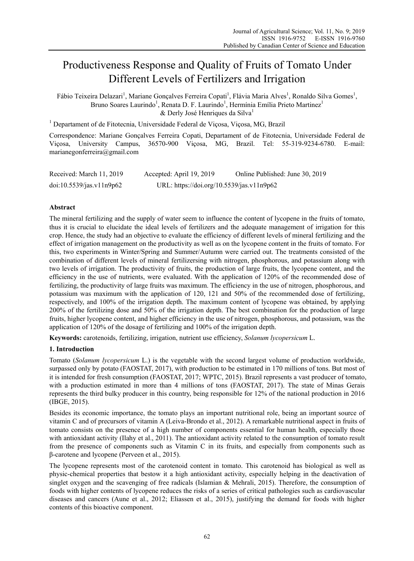# Productiveness Response and Quality of Fruits of Tomato Under Different Levels of Fertilizers and Irrigation

Fábio Teixeira Delazari<sup>1</sup>, Mariane Gonçalves Ferreira Copati<sup>1</sup>, Flávia Maria Alves<sup>1</sup>, Ronaldo Silva Gomes<sup>1</sup>, Bruno Soares Laurindo<sup>1</sup>, Renata D. F. Laurindo<sup>1</sup>, Hermínia Emília Prieto Martinez<sup>1</sup>  $&$  Derly José Henriques da Silva<sup>1</sup>

<sup>1</sup> Departament of de Fitotecnia, Universidade Federal de Viçosa, Viçosa, MG, Brazil

Correspondence: Mariane Gonçalves Ferreira Copati, Departament of de Fitotecnia, Universidade Federal de Viçosa, University Campus, 36570-900 Viçosa, MG, Brazil. Tel: 55-319-9234-6780. E-mail: marianegonferreira@gmail.com

| Received: March 11, 2019 | Accepted: April 19, 2019                  | Online Published: June 30, 2019 |
|--------------------------|-------------------------------------------|---------------------------------|
| doi:10.5539/jas.v11n9p62 | URL: https://doi.org/10.5539/jas.v11n9p62 |                                 |

# **Abstract**

The mineral fertilizing and the supply of water seem to influence the content of lycopene in the fruits of tomato, thus it is crucial to elucidate the ideal levels of fertilizers and the adequate management of irrigation for this crop. Hence, the study had an objective to evaluate the efficiency of different levels of mineral fertilizing and the effect of irrigation management on the productivity as well as on the lycopene content in the fruits of tomato. For this, two experiments in Winter/Spring and Summer/Autumn were carried out. The treatments consisted of the combination of different levels of mineral fertilizersing with nitrogen, phosphorous, and potassium along with two levels of irrigation. The productivity of fruits, the production of large fruits, the lycopene content, and the efficiency in the use of nutrients, were evaluated. With the application of 120% of the recommended dose of fertilizing, the productivity of large fruits was maximum. The efficiency in the use of nitrogen, phosphorous, and potassium was maximum with the application of 120, 121 and 50% of the recommended dose of fertilizing, respectively, and 100% of the irrigation depth. The maximum content of lycopene was obtained, by applying 200% of the fertilizing dose and 50% of the irrigation depth. The best combination for the production of large fruits, higher lycopene content, and higher efficiency in the use of nitrogen, phosphorous, and potassium, was the application of 120% of the dosage of fertilizing and 100% of the irrigation depth.

**Keywords:** carotenoids, fertilizing, irrigation, nutrient use efficiency, *Solanum lycopersicum* L.

# **1. Introduction**

Tomato (*Solanum lycopersicum* L.) is the vegetable with the second largest volume of production worldwide, surpassed only by potato (FAOSTAT, 2017), with production to be estimated in 170 millions of tons. But most of it is intended for fresh consumption (FAOSTAT, 2017; WPTC, 2015). Brazil represents a vast producer of tomato, with a production estimated in more than 4 millions of tons (FAOSTAT, 2017). The state of Minas Gerais represents the third bulky producer in this country, being responsible for 12% of the national production in 2016 (IBGE, 2015).

Besides its economic importance, the tomato plays an important nutritional role, being an important source of vitamin C and of precursors of vitamin A (Leiva-Brondo et al., 2012). A remarkable nutritional aspect in fruits of tomato consists on the presence of a high number of components essential for human health, especially those with antioxidant activity (Ilahy et al., 2011). The antioxidant activity related to the consumption of tomato result from the presence of components such as Vitamin C in its fruits, and especially from components such as β-carotene and lycopene (Perveen et al., 2015).

The lycopene represents most of the carotenoid content in tomato. This carotenoid has biological as well as physic-chemical properties that bestow it a high antioxidant activity, especially helping in the deactivation of singlet oxygen and the scavenging of free radicals (Islamian & Mehrali, 2015). Therefore, the consumption of foods with higher contents of lycopene reduces the risks of a series of critical pathologies such as cardiovascular diseases and cancers (Aune et al., 2012; Eliassen et al., 2015), justifying the demand for foods with higher contents of this bioactive component.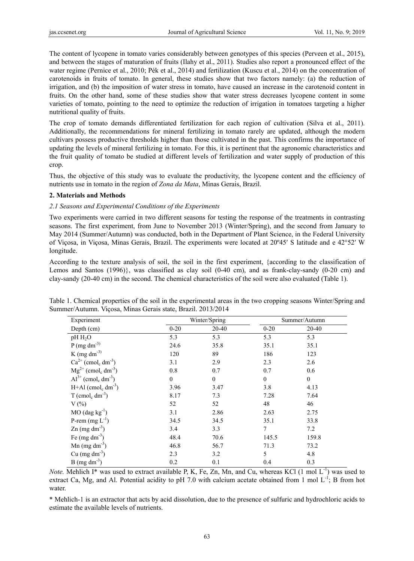The content of lycopene in tomato varies considerably between genotypes of this species (Perveen et al., 2015), and between the stages of maturation of fruits (Ilahy et al., 2011). Studies also report a pronounced effect of the water regime (Pernice et al., 2010; Pék et al., 2014) and fertilization (Kuscu et al., 2014) on the concentration of carotenoids in fruits of tomato. In general, these studies show that two factors namely: (a) the reduction of irrigation, and (b) the imposition of water stress in tomato, have caused an increase in the carotenoid content in fruits. On the other hand, some of these studies show that water stress decreases lycopene content in some varieties of tomato, pointing to the need to optimize the reduction of irrigation in tomatoes targeting a higher nutritional quality of fruits.

The crop of tomato demands differentiated fertilization for each region of cultivation (Silva et al., 2011). Additionally, the recommendations for mineral fertilizing in tomato rarely are updated, although the modern cultivars possess productive thresholds higher than those cultivated in the past. This confirms the importance of updating the levels of mineral fertilizing in tomato. For this, it is pertinent that the agronomic characteristics and the fruit quality of tomato be studied at different levels of fertilization and water supply of production of this crop.

Thus, the objective of this study was to evaluate the productivity, the lycopene content and the efficiency of nutrients use in tomato in the region of *Zona da Mata*, Minas Gerais, Brazil.

# **2. Materials and Methods**

# *2.1 Seasons and Experimental Conditions of the Experiments*

Two experiments were carried in two different seasons for testing the response of the treatments in contrasting seasons. The first experiment, from June to November 2013 (Winter/Spring), and the second from January to May 2014 (Summer/Autumn) was conducted, both in the Department of Plant Science, in the Federal University of Viçosa, in Viçosa, Minas Gerais, Brazil. The experiments were located at 20º45′ S latitude and e 42°52′ W longitude.

According to the texture analysis of soil, the soil in the first experiment, {according to the classification of Lemos and Santos (1996)}, was classified as clay soil (0-40 cm), and as frank-clay-sandy (0-20 cm) and clay-sandy (20-40 cm) in the second. The chemical characteristics of the soil were also evaluated (Table 1).

| Experiment                                      | Winter/Spring    |              | Summer/Autumn    |                  |
|-------------------------------------------------|------------------|--------------|------------------|------------------|
| Depth $(cm)$                                    | $0 - 20$         | 20-40        | $0 - 20$         | 20-40            |
| pH H <sub>2</sub> O                             | 5.3              | 5.3          | 5.3              | 5.3              |
| $P$ (mg dm <sup>-3)</sup>                       | 24.6             | 35.8         | 35.1             | 35.1             |
| K (mg dm <sup>-3)</sup>                         | 120              | 89           | 186              | 123              |
| $Ca2+$ (cmol <sub>c</sub> dm <sup>-3</sup> )    | 3.1              | 2.9          | 2.3              | 2.6              |
| $Mg^{2+}$ (cmol <sub>c</sub> dm <sup>-3</sup> ) | 0.8              | 0.7          | 0.7              | 0.6              |
| $Al^{3+}$ (cmol <sub>c</sub> dm <sup>-3</sup> ) | $\boldsymbol{0}$ | $\mathbf{0}$ | $\boldsymbol{0}$ | $\boldsymbol{0}$ |
| $H+A1$ (cmol <sub>c</sub> dm <sup>-3</sup> )    | 3.96             | 3.47         | 3.8              | 4.13             |
| $T$ (cmol <sub>c</sub> dm <sup>-3</sup> )       | 8.17             | 7.3          | 7.28             | 7.64             |
| $V(\%)$                                         | 52               | 52           | 48               | 46               |
| $MO$ (dag kg <sup>-1</sup> )                    | 3.1              | 2.86         | 2.63             | 2.75             |
| P-rem $(mg L^{-1})$                             | 34.5             | 34.5         | 35.1             | 33.8             |
| $\text{Zn}$ (mg dm <sup>-3</sup> )              | 3.4              | 3.3          | 7                | 7.2              |
| Fe (mg dm <sup>-3</sup> )                       | 48.4             | 70.6         | 145.5            | 159.8            |
| Mn $(mg dm^{-3})$                               | 46.8             | 56.7         | 71.3             | 73.2             |
| $Cu$ (mg dm <sup>-3</sup> )                     | 2.3              | 3.2          | 5                | 4.8              |
| $B$ (mg dm <sup>-3</sup> )                      | 0.2              | 0.1          | 0.4              | 0.3              |

Table 1. Chemical properties of the soil in the experimental areas in the two cropping seasons Winter/Spring and Summer/Autumn. Viçosa, Minas Gerais state, Brazil. 2013/2014

*Note.* Mehlich I\* was used to extract available P, K, Fe, Zn, Mn, and Cu, whereas KCl (1 mol L<sup>-1</sup>) was used to extract Ca, Mg, and Al. Potential acidity to pH 7.0 with calcium acetate obtained from 1 mol  $L^{-1}$ ; B from hot water.

\* Mehlich-1 is an extractor that acts by acid dissolution, due to the presence of sulfuric and hydrochloric acids to estimate the available levels of nutrients.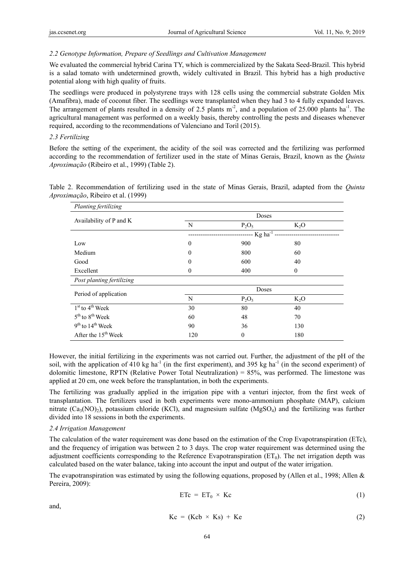# *2.2 Genotype Information, Prepare of Seedlings and Cultivation Management*

We evaluated the commercial hybrid Carina TY, which is commercialized by the Sakata Seed-Brazil. This hybrid is a salad tomato with undetermined growth, widely cultivated in Brazil. This hybrid has a high productive potential along with high quality of fruits.

The seedlings were produced in polystyrene trays with 128 cells using the commercial substrate Golden Mix (Amafibra), made of coconut fiber. The seedlings were transplanted when they had 3 to 4 fully expanded leaves. The arrangement of plants resulted in a density of 2.5 plants m<sup>-2</sup>, and a population of 25.000 plants ha<sup>-1</sup>. The agricultural management was performed on a weekly basis, thereby controlling the pests and diseases whenever required, according to the recommendations of Valenciano and Toril (2015).

# *2.3 Fertilizing*

Before the setting of the experiment, the acidity of the soil was corrected and the fertilizing was performed according to the recommendation of fertilizer used in the state of Minas Gerais, Brazil, known as the *Quinta Aproximação* (Ribeiro et al., 1999) (Table 2).

Table 2. Recommendation of fertilizing used in the state of Minas Gerais, Brazil, adapted from the *Quinta Aproximação*, Ribeiro et al. (1999)

| Planting fertilizing                    |                            |          |          |  |
|-----------------------------------------|----------------------------|----------|----------|--|
| Availability of P and K                 | Doses                      |          |          |  |
|                                         | N                          | $P_2O_5$ | $K_2O$   |  |
|                                         | ---- $Kg$ ha <sup>-1</sup> |          |          |  |
| Low                                     | $\overline{0}$             | 900      | 80       |  |
| Medium                                  | $\overline{0}$             | 800      | 60       |  |
| Good                                    | $\theta$                   | 600      | 40       |  |
| Excellent                               | $\boldsymbol{0}$           | 400      | $\theta$ |  |
| Post planting fertilizing               |                            |          |          |  |
| Period of application                   | Doses                      |          |          |  |
|                                         | N                          | $P_2O_5$ | $K_2O$   |  |
| $1st$ to $4th$ Week                     | 30                         | 80       | 40       |  |
| 5 <sup>th</sup> to 8 <sup>th</sup> Week | 60                         | 48       | 70       |  |
| $9th$ to $14th$ Week                    | 90                         | 36       | 130      |  |
| After the $15th$ Week                   | 120                        | $\theta$ | 180      |  |

However, the initial fertilizing in the experiments was not carried out. Further, the adjustment of the pH of the soil, with the application of 410 kg ha<sup>-1</sup> (in the first experiment), and 395 kg ha<sup>-1</sup> (in the second experiment) of dolomitic limestone, RPTN (Relative Power Total Neutralization) = 85%, was performed. The limestone was applied at 20 cm, one week before the transplantation, in both the experiments.

The fertilizing was gradually applied in the irrigation pipe with a venturi injector, from the first week of transplantation. The fertilizers used in both experiments were mono-ammonium phosphate (MAP), calcium nitrate  $(Ca_3(NO)_2)$ , potassium chloride (KCl), and magnesium sulfate (MgSO<sub>4</sub>) and the fertilizing was further divided into 18 sessions in both the experiments.

## *2.4 Irrigation Management*

The calculation of the water requirement was done based on the estimation of the Crop Evapotranspiration (ETc), and the frequency of irrigation was between 2 to 3 days. The crop water requirement was determined using the adjustment coefficients corresponding to the Reference Evapotranspiration  $(ET_0)$ . The net irrigation depth was calculated based on the water balance, taking into account the input and output of the water irrigation.

The evapotranspiration was estimated by using the following equations, proposed by (Allen et al., 1998; Allen & Pereira, 2009):

$$
ETc = ET_0 \times Kc \tag{1}
$$

and,

$$
Kc = (Kcb \times Ks) + Ke \tag{2}
$$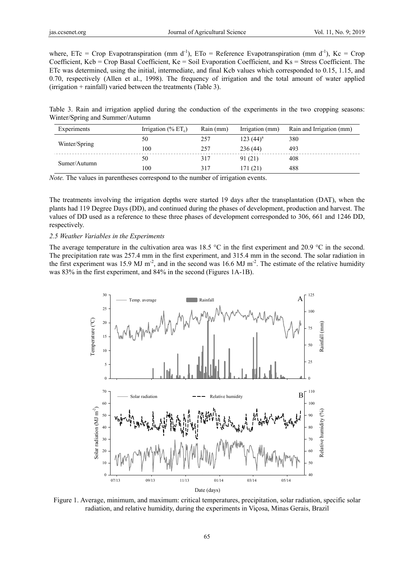where, ETc = Crop Evapotranspiration (mm d<sup>-1</sup>), ET<sub>0</sub> = Reference Evapotranspiration (mm d<sup>-1</sup>), Kc = Crop Coefficient, Kcb = Crop Basal Coefficient, Ke = Soil Evaporation Coefficient, and Ks = Stress Coefficient. The ETc was determined, using the initial, intermediate, and final Kcb values which corresponded to 0.15, 1.15, and 0.70, respectively (Allen et al., 1998). The frequency of irrigation and the total amount of water applied (irrigation + rainfall) varied between the treatments (Table 3).

Table 3. Rain and irrigation applied during the conduction of the experiments in the two cropping seasons: Winter/Spring and Summer/Autumn

| Experiments   | Irrigation $(\%$ ET <sub>c</sub> ) | Rain (mm) | Irrigation (mm) | Rain and Irrigation (mm) |  |
|---------------|------------------------------------|-----------|-----------------|--------------------------|--|
| Winter/Spring | 50                                 | 257       | $123(44)^a$     | 380                      |  |
|               | 100                                | 257       | 236(44)         | 493                      |  |
| Sumer/Autumn  | 50                                 | 317       | 91 (21)         | 408                      |  |
|               | 100                                | 317       | 171(21)         | 488                      |  |

*Note.* The values in parentheses correspond to the number of irrigation events.

The treatments involving the irrigation depths were started 19 days after the transplantation (DAT), when the plants had 119 Degree Days (DD), and continued during the phases of development, production and harvest. The values of DD used as a reference to these three phases of development corresponded to 306, 661 and 1246 DD, respectively.

#### *2.5 Weather Variables in the Experiments*

The average temperature in the cultivation area was 18.5 °C in the first experiment and 20.9 °C in the second. The precipitation rate was 257.4 mm in the first experiment, and 315.4 mm in the second. The solar radiation in the first experiment was 15.9 MJ m<sup>-2</sup>, and in the second was 16.6 MJ m<sup>-2</sup>. The estimate of the relative humidity was 83% in the first experiment, and 84% in the second (Figures 1A-1B).



Figure 1. Average, minimum, and maximum: critical temperatures, precipitation, solar radiation, specific solar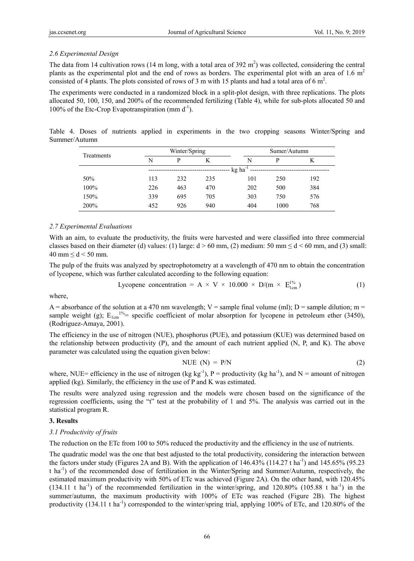# *2.6 Experimental Design*

The data from 14 cultivation rows (14 m long, with a total area of 392  $m<sup>2</sup>$ ) was collected, considering the central plants as the experimental plot and the end of rows as borders. The experimental plot with an area of 1.6  $m<sup>2</sup>$ consisted of 4 plants. The plots consisted of rows of 3 m with 15 plants and had a total area of 6 m<sup>2</sup>.

The experiments were conducted in a randomized block in a split-plot design, with three replications. The plots allocated 50, 100, 150, and 200% of the recommended fertilizing (Table 4), while for sub-plots allocated 50 and 100% of the Etc-Crop Evapotranspiration  $\text{mm } d^{-1}$ ).

Table 4. Doses of nutrients applied in experiments in the two cropping seasons Winter/Spring and Summer/Autumn

| Treatments |       | Winter/Spring |     |     | Sumer/Autumn |     |  |
|------------|-------|---------------|-----|-----|--------------|-----|--|
|            | N     | D             | K   | N   | P            | K   |  |
|            | kg ha |               |     |     |              |     |  |
| 50%        | 113   | 232           | 235 | 101 | 250          | 192 |  |
| 100%       | 226   | 463           | 470 | 202 | 500          | 384 |  |
| 150%       | 339   | 695           | 705 | 303 | 750          | 576 |  |
| 200%       | 452   | 926           | 940 | 404 | 1000         | 768 |  |

## *2.7 Experimental Evaluations*

With an aim, to evaluate the productivity, the fruits were harvested and were classified into three commercial classes based on their diameter (d) values: (1) large:  $d > 60$  mm, (2) medium: 50 mm  $\le d \le 60$  mm, and (3) small: 40 mm  $\leq$  d  $<$  50 mm.

The pulp of the fruits was analyzed by spectrophotometry at a wavelength of 470 nm to obtain the concentration of lycopene, which was further calculated according to the following equation:

Lycopene concentration = A × V × 10.000 × D/(m × 1% E1cm ) (1)

where,

A = absorbance of the solution at a 470 nm wavelength; V = sample final volume (ml); D = sample dilution; m = sample weight (g);  $E_{1cm}^{1%}$  specific coefficient of molar absorption for lycopene in petroleum ether (3450), (Rodriguez-Amaya, 2001).

The efficiency in the use of nitrogen (NUE), phosphorus (PUE), and potassium (KUE) was determined based on the relationship between productivity (P), and the amount of each nutrient applied (N, P, and K). The above parameter was calculated using the equation given below:

$$
NUE (N) = P/N
$$
 (2)

where, NUE= efficiency in the use of nitrogen (kg kg<sup>-1</sup>), P = productivity (kg ha<sup>-1</sup>), and N = amount of nitrogen applied (kg). Similarly, the efficiency in the use of P and K was estimated.

The results were analyzed using regression and the models were chosen based on the significance of the regression coefficients, using the "t" test at the probability of 1 and 5%. The analysis was carried out in the statistical program R.

## **3. Results**

## *3.1 Productivity of fruits*

The reduction on the ETc from 100 to 50% reduced the productivity and the efficiency in the use of nutrients.

The quadratic model was the one that best adjusted to the total productivity, considering the interaction between the factors under study (Figures 2A and B). With the application of  $146.43\%$  ( $114.27$  t ha<sup>-1</sup>) and  $145.65\%$  ( $95.23$ ) t ha-1) of the recommended dose of fertilization in the Winter/Spring and Summer/Autumn, respectively, the estimated maximum productivity with 50% of ETc was achieved (Figure 2A). On the other hand, with 120.45%  $(134.11 \text{ t} \text{ ha}^{-1})$  of the recommended fertilization in the winter/spring, and 120.80% (105.88 t ha<sup>-1</sup>) in the summer/autumn, the maximum productivity with 100% of ETc was reached (Figure 2B). The highest productivity  $(134.11 \text{ t} \text{ ha}^{-1})$  corresponded to the winter/spring trial, applying 100% of ETc, and 120.80% of the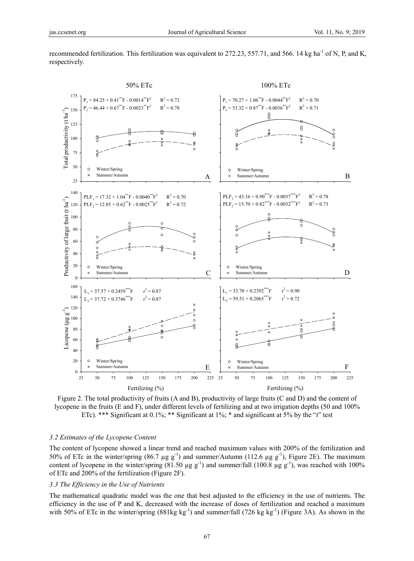

recommended fertilization. This fertilization was equivalent to 272.23, 557.71, and 566. 14 kg ha<sup>-1</sup> of N, P, and K, respectively.

Figure 2. The total productivity of fruits (A and B), productivity of large fruits (C and D) and the content of lycopene in the fruits (E and F), under different levels of fertilizing and at two irrigation depths (50 and 100% ETc). \*\*\* Significant at 0.1%; \*\* Significant at 1%; \* and significant at 5% by the "*t*" test

#### *3.2 Estimates of the Lycopene Content*

The content of lycopene showed a linear trend and reached maximum values with 200% of the fertilization and 50% of ETc in the winter/spring (86.7 µg  $g^{-1}$ ) and summer/Autumn (112.6 µg  $g^{-1}$ ), Figure 2E). The maximum content of lycopene in the winter/spring (81.50  $\mu$ g g<sup>-1</sup>) and summer/fall (100.8  $\mu$ g g<sup>-1</sup>), was reached with 100% of ETc and 200% of the fertilization (Figure 2F).

#### *3.3 The Efficiency in the Use of Nutrients*

The mathematical quadratic model was the one that best adjusted to the efficiency in the use of nutrients. The efficiency in the use of P and K, decreased with the increase of doses of fertilization and reached a maximum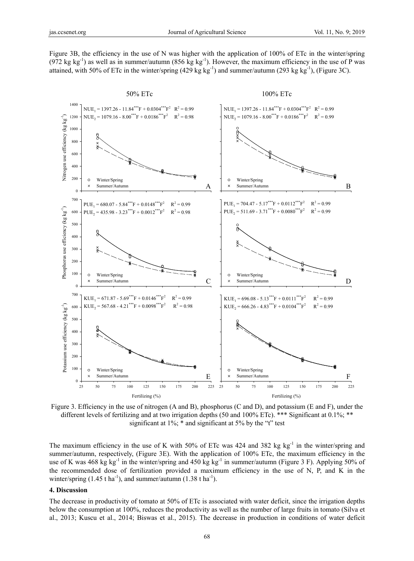Figure 3B, the efficiency in the use of N was higher with the application of 100% of ETc in the winter/spring (972 kg kg<sup>-1</sup>) as well as in summer/autumn (856 kg kg<sup>-1</sup>). However, the maximum efficiency in the use of P was attained, with 50% of ETc in the winter/spring (429 kg kg<sup>-1</sup>) and summer/autumn (293 kg kg<sup>-1</sup>), (Figure 3C).



Figure 3. Efficiency in the use of nitrogen (A and B), phosphorus (C and D), and potassium (E and F), under the different levels of fertilizing and at two irrigation depths (50 and 100% ETc). \*\*\* Significant at 0.1%; \*\* significant at 1%; \* and significant at 5% by the "t" test

The maximum efficiency in the use of K with 50% of ETc was 424 and 382 kg kg<sup>-1</sup> in the winter/spring and summer/autumn, respectively, (Figure 3E). With the application of 100% ETc, the maximum efficiency in the use of K was 468 kg kg<sup>-1</sup> in the winter/spring and 450 kg kg<sup>-1</sup> in summer/autumn (Figure 3 F). Applying 50% of the recommended dose of fertilization provided a maximum efficiency in the use of N, P, and K in the winter/spring  $(1.45 \text{ t ha}^{-1})$ , and summer/autumn  $(1.38 \text{ t ha}^{-1})$ .

#### **4. Discussion**

The decrease in productivity of tomato at 50% of ETc is associated with water deficit, since the irrigation depths below the consumption at 100%, reduces the productivity as well as the number of large fruits in tomato (Silva et al., 2013; Kuscu et al., 2014; Biswas et al., 2015). The decrease in production in conditions of water deficit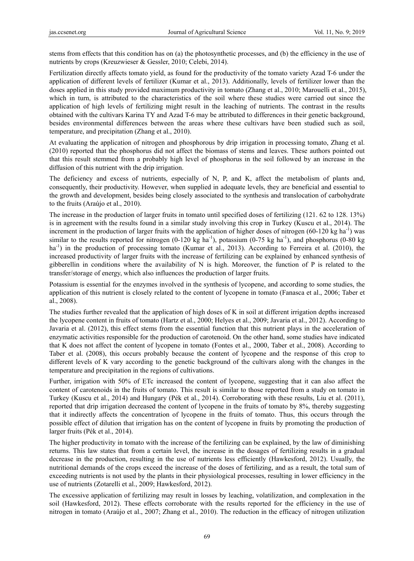stems from effects that this condition has on (a) the photosynthetic processes, and (b) the efficiency in the use of nutrients by crops (Kreuzwieser & Gessler, 2010; Celebi, 2014).

Fertilization directly affects tomato yield, as found for the productivity of the tomato variety Azad T-6 under the application of different levels of fertilizer (Kumar et al., 2013). Additionally, levels of fertilizer lower than the doses applied in this study provided maximum productivity in tomato (Zhang et al., 2010; Marouelli et al., 2015), which in turn, is attributed to the characteristics of the soil where these studies were carried out since the application of high levels of fertilizing might result in the leaching of nutrients. The contrast in the results obtained with the cultivars Karina TY and Azad T-6 may be attributed to differences in their genetic background, besides environmental differences between the areas where these cultivars have been studied such as soil, temperature, and precipitation (Zhang et al., 2010).

At evaluating the application of nitrogen and phosphorous by drip irrigation in processing tomato, Zhang et al. (2010) reported that the phosphorus did not affect the biomass of stems and leaves. These authors pointed out that this result stemmed from a probably high level of phosphorus in the soil followed by an increase in the diffusion of this nutrient with the drip irrigation.

The deficiency and excess of nutrients, especially of N, P, and K, affect the metabolism of plants and, consequently, their productivity. However, when supplied in adequate levels, they are beneficial and essential to the growth and development, besides being closely associated to the synthesis and translocation of carbohydrate to the fruits (Araújo et al., 2010).

The increase in the production of larger fruits in tomato until specified doses of fertilizing (121. 62 to 128. 13%) is in agreement with the results found in a similar study involving this crop in Turkey (Kuscu et al., 2014). The increment in the production of larger fruits with the application of higher doses of nitrogen (60-120 kg ha<sup>-1</sup>) was similar to the results reported for nitrogen  $(0-120 \text{ kg ha}^{-1})$ , potassium  $(0-75 \text{ kg ha}^{-1})$ , and phosphorus  $(0-80 \text{ kg ha}^{-1})$ ha<sup>-1</sup>) in the production of processing tomato (Kumar et al., 2013). According to Ferreira et al. (2010), the increased productivity of larger fruits with the increase of fertilizing can be explained by enhanced synthesis of gibberellin in conditions where the availability of  $N$  is high. Moreover, the function of  $P$  is related to the transfer/storage of energy, which also influences the production of larger fruits.

Potassium is essential for the enzymes involved in the synthesis of lycopene, and according to some studies, the application of this nutrient is closely related to the content of lycopene in tomato (Fanasca et al., 2006; Taber et al., 2008).

The studies further revealed that the application of high doses of K in soil at different irrigation depths increased the lycopene content in fruits of tomato (Hartz et al., 2000; Helyes et al., 2009; Javaria et al., 2012). According to Javaria et al. (2012), this effect stems from the essential function that this nutrient plays in the acceleration of enzymatic activities responsible for the production of carotenoid. On the other hand, some studies have indicated that K does not affect the content of lycopene in tomato (Fontes et al., 2000, Taber et al., 2008). According to Taber et al. (2008), this occurs probably because the content of lycopene and the response of this crop to different levels of K vary according to the genetic background of the cultivars along with the changes in the temperature and precipitation in the regions of cultivations.

Further, irrigation with 50% of ETc increased the content of lycopene, suggesting that it can also affect the content of carotenoids in the fruits of tomato. This result is similar to those reported from a study on tomato in Turkey (Kuscu et al., 2014) and Hungary (Pék et al., 2014). Corroborating with these results, Liu et al. (2011), reported that drip irrigation decreased the content of lycopene in the fruits of tomato by 8%, thereby suggesting that it indirectly affects the concentration of lycopene in the fruits of tomato. Thus, this occurs through the possible effect of dilution that irrigation has on the content of lycopene in fruits by promoting the production of larger fruits (Pék et al., 2014).

The higher productivity in tomato with the increase of the fertilizing can be explained, by the law of diminishing returns. This law states that from a certain level, the increase in the dosages of fertilizing results in a gradual decrease in the production, resulting in the use of nutrients less efficiently (Hawkesford, 2012). Usually, the nutritional demands of the crops exceed the increase of the doses of fertilizing, and as a result, the total sum of exceeding nutrients is not used by the plants in their physiological processes, resulting in lower efficiency in the use of nutrients (Zotarelli et al., 2009; Hawkesford, 2012).

The excessive application of fertilizing may result in losses by leaching, volatilization, and complexation in the soil (Hawkesford, 2012). These effects corroborate with the results reported for the efficiency in the use of nitrogen in tomato (Araújo et al., 2007; Zhang et al., 2010). The reduction in the efficacy of nitrogen utilization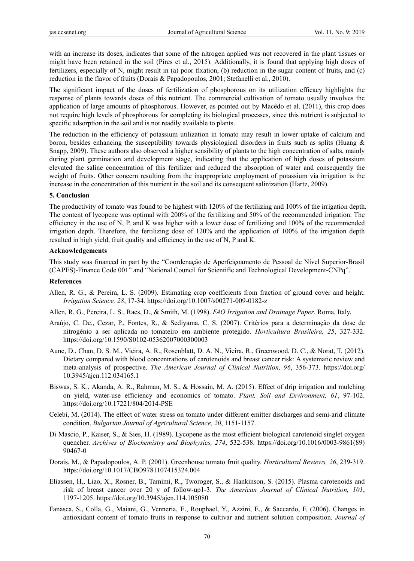with an increase its doses, indicates that some of the nitrogen applied was not recovered in the plant tissues or might have been retained in the soil (Pires et al., 2015). Additionally, it is found that applying high doses of fertilizers, especially of N, might result in (a) poor fixation, (b) reduction in the sugar content of fruits, and (c) reduction in the flavor of fruits (Dorais & Papadopoulos, 2001; Stefanelli et al., 2010).

The significant impact of the doses of fertilization of phosphorous on its utilization efficacy highlights the response of plants towards doses of this nutrient. The commercial cultivation of tomato usually involves the application of large amounts of phosphorous. However, as pointed out by Macêdo et al. (2011), this crop does not require high levels of phosphorous for completing its biological processes, since this nutrient is subjected to specific adsorption in the soil and is not readily available to plants.

The reduction in the efficiency of potassium utilization in tomato may result in lower uptake of calcium and boron, besides enhancing the susceptibility towards physiological disorders in fruits such as splits (Huang & Snapp, 2009). These authors also observed a higher sensibility of plants to the high concentration of salts, mainly during plant germination and development stage, indicating that the application of high doses of potassium elevated the saline concentration of this fertilizer and reduced the absorption of water and consequently the weight of fruits. Other concern resulting from the inappropriate employment of potassium via irrigation is the increase in the concentration of this nutrient in the soil and its consequent salinization (Hartz, 2009).

#### **5. Conclusion**

The productivity of tomato was found to be highest with 120% of the fertilizing and 100% of the irrigation depth. The content of lycopene was optimal with 200% of the fertilizing and 50% of the recommended irrigation. The efficiency in the use of N, P, and K was higher with a lower dose of fertilizing and 100% of the recommended irrigation depth. Therefore, the fertilizing dose of 120% and the application of 100% of the irrigation depth resulted in high yield, fruit quality and efficiency in the use of N, P and K.

#### **Acknowledgements**

This study was financed in part by the "Coordenação de Aperfeiçoamento de Pessoal de Nível Superior-Brasil (CAPES)-Finance Code 001" and "National Council for Scientific and Technological Development-CNPq".

#### **References**

- Allen, R. G., & Pereira, L. S. (2009). Estimating crop coefficients from fraction of ground cover and height. *Irrigation Science, 28*, 17-34. https://doi.org/10.1007/s00271-009-0182-z
- Allen, R. G., Pereira, L. S., Raes, D., & Smith, M. (1998). *FAO Irrigation and Drainage Paper*. Roma, Italy.
- Araújo, C. De., Cezar, P., Fontes, R., & Sediyama, C. S. (2007). Critérios para a determinação da dose de nitrogênio a ser aplicada no tomateiro em ambiente protegido. *Horticultura Brasileira, 25*, 327-332. https://doi.org/10.1590/S0102-05362007000300003
- Aune, D., Chan, D. S. M., Vieira, A. R., Rosenblatt, D. A. N., Vieira, R., Greenwood, D. C., & Norat, T. (2012). Dietary compared with blood concentrations of carotenoids and breast cancer risk: A systematic review and meta-analysis of prospective. *The American Journal of Clinical Nutrition, 96*, 356-373. https://doi.org/ 10.3945/ajcn.112.034165.1
- Biswas, S. K., Akanda, A. R., Rahman, M. S., & Hossain, M. A. (2015). Effect of drip irrigation and mulching on yield, water-use efficiency and economics of tomato. *Plant, Soil and Environment, 61*, 97-102. https://doi.org/10.17221/804/2014-PSE
- Celebi, M. (2014). The effect of water stress on tomato under different emitter discharges and semi-arid climate condition. *Bulgarian Journal of Agricultural Science, 20*, 1151-1157.
- Di Mascio, P., Kaiser, S., & Sies, H. (1989). Lycopene as the most efficient biological carotenoid singlet oxygen quencher. *Archives of Biochemistry and Biophysics, 274*, 532-538. https://doi.org/10.1016/0003-9861(89) 90467-0
- Dorais, M., & Papadopoulos, A. P. (2001). Greenhouse tomato fruit quality. *Horticultural Reviews, 26*, 239-319. https://doi.org/10.1017/CBO9781107415324.004
- Eliassen, H., Liao, X., Rosner, B., Tamimi, R., Tworoger, S., & Hankinson, S. (2015). Plasma carotenoids and risk of breast cancer over 20 y of follow-up1-3. *The American Journal of Clinical Nutrition, 101*, 1197-1205. https://doi.org/10.3945/ajcn.114.105080
- Fanasca, S., Colla, G., Maiani, G., Venneria, E., Rouphael, Y., Azzini, E., & Saccardo, F. (2006). Changes in antioxidant content of tomato fruits in response to cultivar and nutrient solution composition. *Journal of*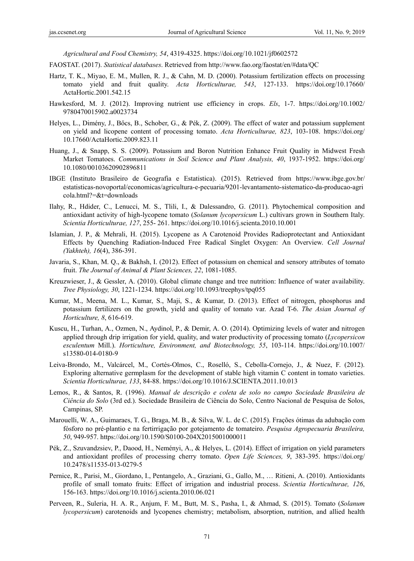*Agricultural and Food Chemistry, 54*, 4319-4325. https://doi.org/10.1021/jf0602572

FAOSTAT. (2017). *Statistical databases*. Retrieved from http://www.fao.org/faostat/en/#data/QC

- Hartz, T. K., Miyao, E. M., Mullen, R. J., & Cahn, M. D. (2000). Potassium fertilization effects on processing tomato yield and fruit quality. *Acta Horticulturae, 543*, 127-133. https://doi.org/10.17660/ ActaHortic.2001.542.15
- Hawkesford, M. J. (2012). Improving nutrient use efficiency in crops. *Els*, 1-7. https://doi.org/10.1002/ 9780470015902.a0023734
- Helyes, L., Dimény, J., Bőcs, B., Schober, G., & Pék, Z. (2009). The effect of water and potassium supplement on yield and licopene content of processing tomato. *Acta Horticulturae, 823*, 103-108. https://doi.org/ 10.17660/ActaHortic.2009.823.11
- Huang, J., & Snapp, S. S. (2009). Potassium and Boron Nutrition Enhance Fruit Quality in Midwest Fresh Market Tomatoes. *Communications in Soil Science and Plant Analysis, 40*, 1937-1952. https://doi.org/ 10.1080/00103620902896811
- IBGE (Instituto Brasileiro de Geografia e Estatistica). (2015). Retrieved from https://www.ibge.gov.br/ estatisticas-novoportal/economicas/agricultura-e-pecuaria/9201-levantamento-sistematico-da-producao-agri cola.html?=&t=downloads
- Ilahy, R., Hdider, C., Lenucci, M. S., Tlili, I., & Dalessandro, G. (2011). Phytochemical composition and antioxidant activity of high-lycopene tomato (*Solanum lycopersicum* L.) cultivars grown in Southern Italy. *Scientia Horticulturae, 127*, 255- 261. https://doi.org/10.1016/j.scienta.2010.10.001
- Islamian, J. P., & Mehrali, H. (2015). Lycopene as A Carotenoid Provides Radioprotectant and Antioxidant Effects by Quenching Radiation-Induced Free Radical Singlet Oxygen: An Overview. *Cell Journal (Yakhteh), 16*(4), 386-391.
- Javaria, S., Khan, M. Q., & Bakhsh, I. (2012). Effect of potassium on chemical and sensory attributes of tomato fruit. *The Journal of Animal & Plant Sciences, 22*, 1081-1085.
- Kreuzwieser, J., & Gessler, A. (2010). Global climate change and tree nutrition: Influence of water availability. *Tree Physiology, 30*, 1221-1234. https://doi.org/10.1093/treephys/tpq055
- Kumar, M., Meena, M. L., Kumar, S., Maji, S., & Kumar, D. (2013). Effect of nitrogen, phosphorus and potassium fertilizers on the growth, yield and quality of tomato var. Azad T-6. *The Asian Journal of Horticulture, 8*, 616-619.
- Kuscu, H., Turhan, A., Ozmen, N., Aydinol, P., & Demir, A. O. (2014). Optimizing levels of water and nitrogen applied through drip irrigation for yield, quality, and water productivity of processing tomato (*Lycopersicon esculentum* Mill.). *Horticulture, Environment, and Biotechnology, 55*, 103-114. https://doi.org/10.1007/ s13580-014-0180-9
- Leiva-Brondo, M., Valcárcel, M., Cortés-Olmos, C., Roselló, S., Cebolla-Cornejo, J., & Nuez, F. (2012). Exploring alternative germplasm for the development of stable high vitamin C content in tomato varieties. *Scientia Horticulturae, 133*, 84-88. https://doi.org/10.1016/J.SCIENTA.2011.10.013
- Lemos, R., & Santos, R. (1996). *Manual de descrição e coleta de solo no campo Sociedade Brasileira de Ciência do Solo* (3rd ed.). Sociedade Brasileira de Ciência do Solo, Centro Nacional de Pesquisa de Solos, Campinas, SP.
- Marouelli, W. A., Guimaraes, T. G., Braga, M. B., & Silva, W. L. de C. (2015). Frações ótimas da adubação com fósforo no pré-plantio e na fertirrigação por gotejamento de tomateiro. *Pesquisa Agropecuaria Brasileira, 50*, 949-957. https://doi.org/10.1590/S0100-204X2015001000011
- Pék, Z., Szuvandzsiev, P., Daood, H., Neményi, A., & Helyes, L. (2014). Effect of irrigation on yield parameters and antioxidant profiles of processing cherry tomato. *Open Life Sciences, 9*, 383-395. https://doi.org/ 10.2478/s11535-013-0279-5
- Pernice, R., Parisi, M., Giordano, I., Pentangelo, A., Graziani, G., Gallo, M., … Ritieni, A. (2010). Antioxidants profile of small tomato fruits: Effect of irrigation and industrial process. *Scientia Horticulturae, 126*, 156-163. https://doi.org/10.1016/j.scienta.2010.06.021
- Perveen, R., Suleria, H. A. R., Anjum, F. M., Butt, M. S., Pasha, I., & Ahmad, S. (2015). Tomato (*Solanum lycopersicum*) carotenoids and lycopenes chemistry; metabolism, absorption, nutrition, and allied health